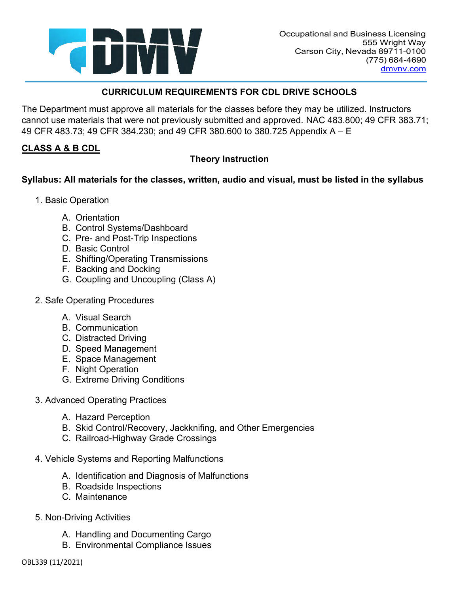

The Department must approve all materials for the classes before they may be utilized. Instructors cannot use materials that were not previously submitted and approved. NAC 483.800; 49 CFR 383.71; 49 CFR 483.73; 49 CFR 384.230; and 49 CFR 380.600 to 380.725 Appendix A – E

# **CLASS A & B CDL**

# **Theory Instruction**

## **Syllabus: All materials for the classes, written, audio and visual, must be listed in the syllabus**

- 1. Basic Operation
	- A. Orientation
	- B. Control Systems/Dashboard
	- C. Pre- and Post-Trip Inspections
	- D. Basic Control
	- E. Shifting/Operating Transmissions
	- F. Backing and Docking
	- G. Coupling and Uncoupling (Class A)
- 2. Safe Operating Procedures
	- A. Visual Search
	- B. Communication
	- C. Distracted Driving
	- D. Speed Management
	- E. Space Management
	- F. Night Operation
	- G. Extreme Driving Conditions
- 3. Advanced Operating Practices
	- A. Hazard Perception
	- B. Skid Control/Recovery, Jackknifing, and Other Emergencies
	- C. Railroad-Highway Grade Crossings
- 4. Vehicle Systems and Reporting Malfunctions
	- A. Identification and Diagnosis of Malfunctions
	- B. Roadside Inspections
	- C. Maintenance
- 5. Non-Driving Activities
	- A. Handling and Documenting Cargo
	- B. Environmental Compliance Issues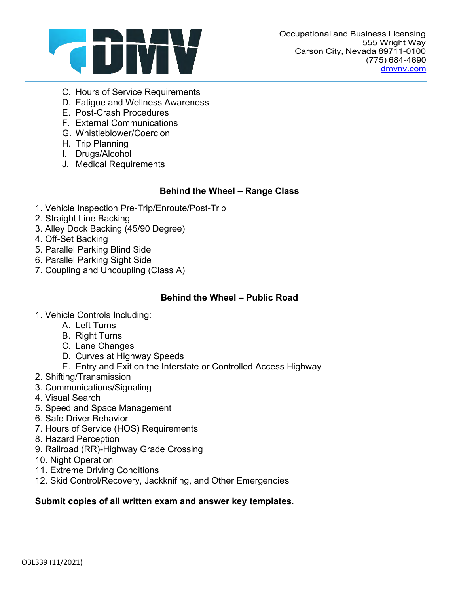

- C. Hours of Service Requirements
- D. Fatigue and Wellness Awareness
- E. Post-Crash Procedures
- F. External Communications
- G. Whistleblower/Coercion
- H. Trip Planning
- I. Drugs/Alcohol
- J. Medical Requirements

### **Behind the Wheel – Range Class**

- 1. Vehicle Inspection Pre-Trip/Enroute/Post-Trip
- 2. Straight Line Backing
- 3. Alley Dock Backing (45/90 Degree)
- 4. Off-Set Backing
- 5. Parallel Parking Blind Side
- 6. Parallel Parking Sight Side
- 7. Coupling and Uncoupling (Class A)

### **Behind the Wheel – Public Road**

- 1. Vehicle Controls Including:
	- A. Left Turns
	- B. Right Turns
	- C. Lane Changes
	- D. Curves at Highway Speeds
	- E. Entry and Exit on the Interstate or Controlled Access Highway
- 2. Shifting/Transmission
- 3. Communications/Signaling
- 4. Visual Search
- 5. Speed and Space Management
- 6. Safe Driver Behavior
- 7. Hours of Service (HOS) Requirements
- 8. Hazard Perception
- 9. Railroad (RR)-Highway Grade Crossing
- 10. Night Operation
- 11. Extreme Driving Conditions
- 12. Skid Control/Recovery, Jackknifing, and Other Emergencies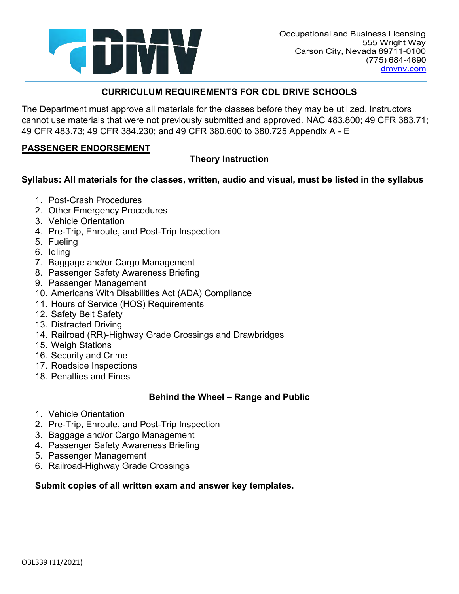

The Department must approve all materials for the classes before they may be utilized. Instructors cannot use materials that were not previously submitted and approved. NAC 483.800; 49 CFR 383.71; 49 CFR 483.73; 49 CFR 384.230; and 49 CFR 380.600 to 380.725 Appendix A - E

#### **PASSENGER ENDORSEMENT**

# **Theory Instruction**

### **Syllabus: All materials for the classes, written, audio and visual, must be listed in the syllabus**

- 1. Post-Crash Procedures
- 2. Other Emergency Procedures
- 3. Vehicle Orientation
- 4. Pre-Trip, Enroute, and Post-Trip Inspection
- 5. Fueling
- 6. Idling
- 7. Baggage and/or Cargo Management
- 8. Passenger Safety Awareness Briefing
- 9. Passenger Management
- 10. Americans With Disabilities Act (ADA) Compliance
- 11. Hours of Service (HOS) Requirements
- 12. Safety Belt Safety
- 13. Distracted Driving
- 14. Railroad (RR)-Highway Grade Crossings and Drawbridges
- 15. Weigh Stations
- 16. Security and Crime
- 17. Roadside Inspections
- 18. Penalties and Fines

#### **Behind the Wheel – Range and Public**

- 1. Vehicle Orientation
- 2. Pre-Trip, Enroute, and Post-Trip Inspection
- 3. Baggage and/or Cargo Management
- 4. Passenger Safety Awareness Briefing
- 5. Passenger Management
- 6. Railroad-Highway Grade Crossings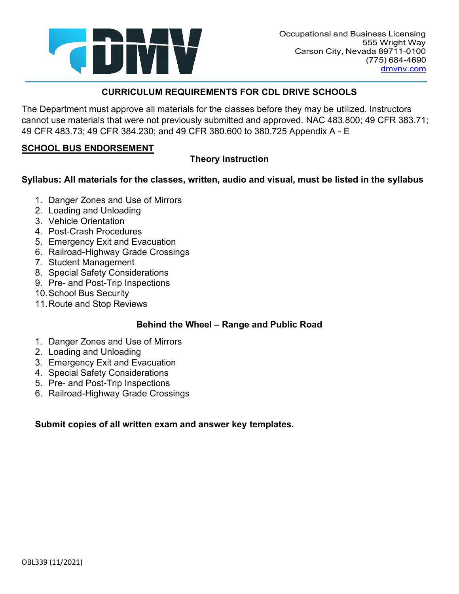

The Department must approve all materials for the classes before they may be utilized. Instructors cannot use materials that were not previously submitted and approved. NAC 483.800; 49 CFR 383.71; 49 CFR 483.73; 49 CFR 384.230; and 49 CFR 380.600 to 380.725 Appendix A - E

### **SCHOOL BUS ENDORSEMENT**

# **Theory Instruction**

### **Syllabus: All materials for the classes, written, audio and visual, must be listed in the syllabus**

- 1. Danger Zones and Use of Mirrors
- 2. Loading and Unloading
- 3. Vehicle Orientation
- 4. Post-Crash Procedures
- 5. Emergency Exit and Evacuation
- 6. Railroad-Highway Grade Crossings
- 7. Student Management
- 8. Special Safety Considerations
- 9. Pre- and Post-Trip Inspections
- 10.School Bus Security
- 11.Route and Stop Reviews

## **Behind the Wheel – Range and Public Road**

- 1. Danger Zones and Use of Mirrors
- 2. Loading and Unloading
- 3. Emergency Exit and Evacuation
- 4. Special Safety Considerations
- 5. Pre- and Post-Trip Inspections
- 6. Railroad-Highway Grade Crossings